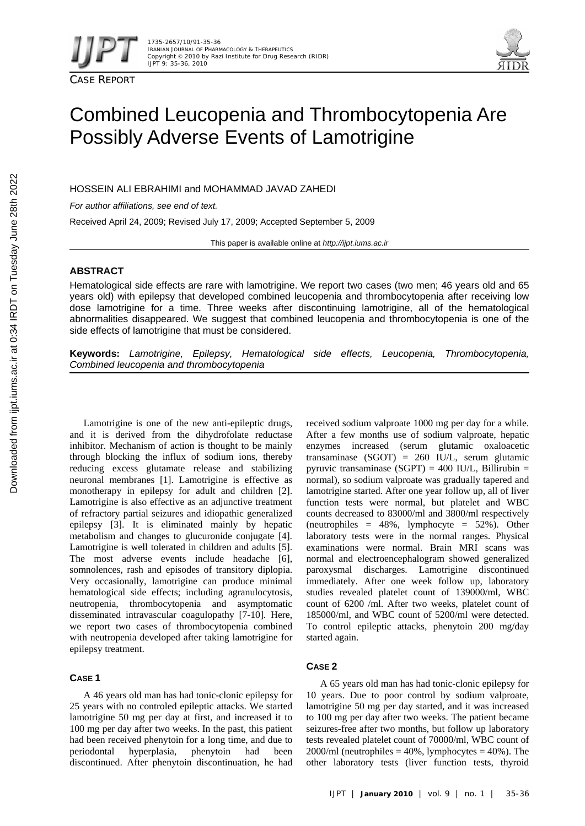



# Combined Leucopenia and Thrombocytopenia Are Possibly Adverse Events of Lamotrigine

HOSSEIN ALI EBRAHIMI and MOHAMMAD JAVAD ZAHEDI

*For author affiliations, see end of text.* 

Received April 24, 2009; Revised July 17, 2009; Accepted September 5, 2009

This paper is available online at *http://ijpt.iums.ac.ir*

## **ABSTRACT**

Hematological side effects are rare with lamotrigine. We report two cases (two men; 46 years old and 65 years old) with epilepsy that developed combined leucopenia and thrombocytopenia after receiving low dose lamotrigine for a time. Three weeks after discontinuing lamotrigine, all of the hematological abnormalities disappeared. We suggest that combined leucopenia and thrombocytopenia is one of the side effects of lamotrigine that must be considered.

**Keywords:** *Lamotrigine, Epilepsy, Hematological side effects, Leucopenia, Thrombocytopenia, Combined leucopenia and thrombocytopenia* 

Lamotrigine is one of the new anti-epileptic drugs, and it is derived from the dihydrofolate reductase inhibitor. Mechanism of action is thought to be mainly through blocking the influx of sodium ions, thereby reducing excess glutamate release and stabilizing neuronal membranes [1]. Lamotrigine is effective as monotherapy in epilepsy for adult and children [2]. Lamotrigine is also effective as an adjunctive treatment of refractory partial seizures and idiopathic generalized epilepsy [ 3]. It is eliminated mainly by hepatic metabolism and changes to glucuronide conjugate [4]. Lamotrigine is well tolerated in children and adults [5]. The most adverse events include headache [6], somnolences, rash and episodes of transitory diplopia. Very occasionally, lamotrigine can produce minimal hematological side effects; including agranulocytosis, neutropenia, thrombocytopenia and asymptomatic disseminated intravascular coagulopathy [7-10]. Here, we report two cases of thrombocytopenia combined with neutropenia developed after taking lamotrigine for epilepsy treatment.

## **CASE 1**

A 46 years old man has had tonic-clonic epilepsy for 25 years with no controled epileptic attacks. We started lamotrigine 50 mg per day at first, and increased it to 100 mg per day after two weeks. In the past, this patient had been received phenytoin for a long time, and due to periodontal hyperplasia, phenytoin had been discontinued. After phenytoin discontinuation, he had

received sodium valproate 1000 mg per day for a while. After a few months use of sodium valproate, hepatic enzymes increased (serum glutamic oxaloacetic transaminase (SGOT) = 260 IU/L, serum glutamic pyruvic transaminase (SGPT) = 400 IU/L, Billirubin = normal), so sodium valproate was gradually tapered and lamotrigine started. After one year follow up, all of liver function tests were normal, but platelet and WBC counts decreased to 83000/ml and 3800/ml respectively (neutrophiles = 48%, lymphocyte = 52%). Other laboratory tests were in the normal ranges. Physical examinations were normal. Brain MRI scans was normal and electroencephalogram showed generalized paroxysmal discharges. Lamotrigine discontinued immediately. After one week follow up, laboratory studies revealed platelet count of 139000/ml, WBC count of 6200 /ml. After two weeks, platelet count of 185000/ml, and WBC count of 5200/ml were detected. To control epileptic attacks, phenytoin 200 mg/day started again.

## **CASE 2**

A 65 years old man has had tonic-clonic epilepsy for 10 years. Due to poor control by sodium valproate, lamotrigine 50 mg per day started, and it was increased to 100 mg per day after two weeks. The patient became seizures-free after two months, but follow up laboratory tests revealed platelet count of 70000/ml, WBC count of  $2000/ml$  (neutrophiles = 40%, lymphocytes = 40%). The other laboratory tests (liver function tests, thyroid